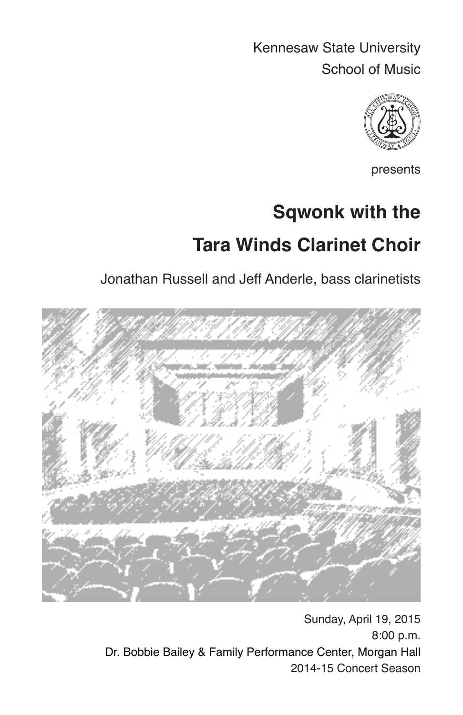Kennesaw State University School of Music



presents

# **Sqwonk with the Tara Winds Clarinet Choir**

Jonathan Russell and Jeff Anderle, bass clarinetists



Sunday, April 19, 2015 8:00 p.m. Dr. Bobbie Bailey & Family Performance Center, Morgan Hall 2014-15 Concert Season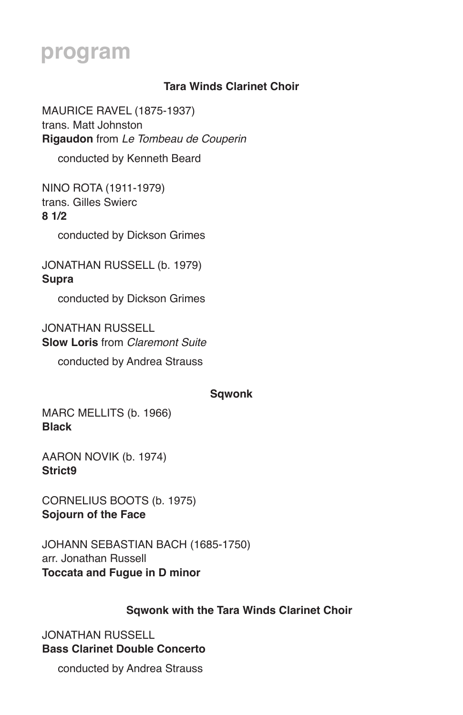### **program**

#### **Tara Winds Clarinet Choir**

MAURICE RAVEL (1875-1937) trans. Matt Johnston **Rigaudon** from *Le Tombeau de Couperin* 

conducted by Kenneth Beard

NINO ROTA (1911-1979) trans. Gilles Swierc **8 1/2** 

conducted by Dickson Grimes

JONATHAN RUSSELL (b. 1979) **Supra** 

conducted by Dickson Grimes

JONATHAN RUSSELL **Slow Loris** from *Claremont Suite* 

conducted by Andrea Strauss

#### **Sqwonk**

MARC MELLITS (b. 1966) **Black**

AARON NOVIK (b. 1974) **Strict9**

CORNELIUS BOOTS (b. 1975) **Sojourn of the Face**

JOHANN SEBASTIAN BACH (1685-1750) arr. Jonathan Russell **Toccata and Fugue in D minor** 

#### **Sqwonk with the Tara Winds Clarinet Choir**

JONATHAN RUSSELL **Bass Clarinet Double Concerto** 

conducted by Andrea Strauss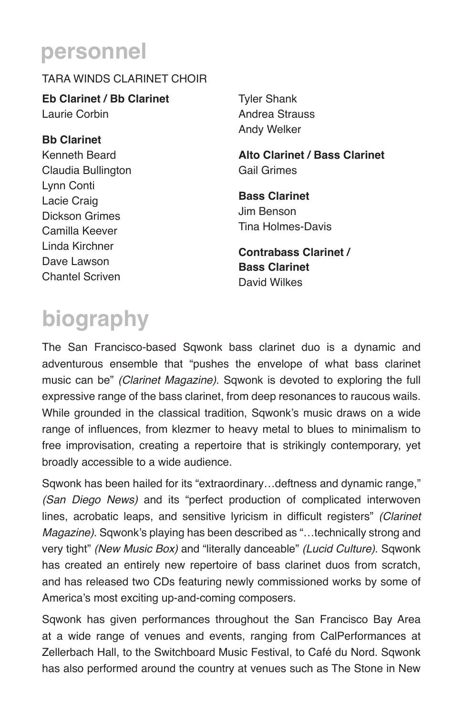### **personnel**

#### TARA WINDS CLARINET CHOIR

**Eb Clarinet / Bb Clarinet** Laurie Corbin

**Bb Clarinet** Kenneth Beard Claudia Bullington Lynn Conti Lacie Craig Dickson Grimes Camilla Keever Linda Kirchner Dave Lawson Chantel Scriven

Tyler Shank Andrea Strauss Andy Welker

**Alto Clarinet / Bass Clarinet** Gail Grimes

**Bass Clarinet** Jim Benson Tina Holmes-Davis

**Contrabass Clarinet / Bass Clarinet** David Wilkes

# **biography**

The San Francisco-based Sqwonk bass clarinet duo is a dynamic and adventurous ensemble that "pushes the envelope of what bass clarinet music can be" *(Clarinet Magazine)*. Sqwonk is devoted to exploring the full expressive range of the bass clarinet, from deep resonances to raucous wails. While grounded in the classical tradition, Sqwonk's music draws on a wide range of influences, from klezmer to heavy metal to blues to minimalism to free improvisation, creating a repertoire that is strikingly contemporary, yet broadly accessible to a wide audience.

Sqwonk has been hailed for its "extraordinary…deftness and dynamic range," *(San Diego News)* and its "perfect production of complicated interwoven lines, acrobatic leaps, and sensitive lyricism in difficult registers" *(Clarinet Magazine)*. Sqwonk's playing has been described as "…technically strong and very tight" *(New Music Box)* and "literally danceable" *(Lucid Culture)*. Sqwonk has created an entirely new repertoire of bass clarinet duos from scratch, and has released two CDs featuring newly commissioned works by some of America's most exciting up-and-coming composers.

Sqwonk has given performances throughout the San Francisco Bay Area at a wide range of venues and events, ranging from CalPerformances at Zellerbach Hall, to the Switchboard Music Festival, to Café du Nord. Sqwonk has also performed around the country at venues such as The Stone in New